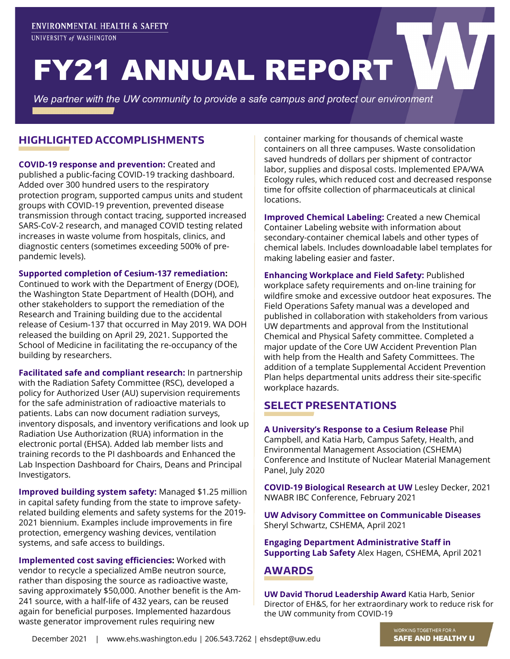UNIVERSITY of WASHINGTON

# FY21 ANNUAL REPORT

*We partner with the UW community to provide a safe campus and protect our environment*

### **HIGHLIGHTED ACCOMPLISHMENTS**

**COVID-19 response and prevention:** Created and published a public-facing COVID-19 tracking dashboard. Added over 300 hundred users to the respiratory protection program, supported campus units and student groups with COVID-19 prevention, prevented disease transmission through contact tracing, supported increased SARS-CoV-2 research, and managed COVID testing related increases in waste volume from hospitals, clinics, and diagnostic centers (sometimes exceeding 500% of prepandemic levels).

#### **Supported completion of Cesium-137 remediation:**

Continued to work with the Department of Energy (DOE), the Washington State Department of Health (DOH), and other stakeholders to support the remediation of the Research and Training building due to the accidental release of Cesium-137 that occurred in May 2019. WA DOH released the building on April 29, 2021. Supported the School of Medicine in facilitating the re-occupancy of the building by researchers.

**Facilitated safe and compliant research:** In partnership with the Radiation Safety Committee (RSC), developed a policy for Authorized User (AU) supervision requirements for the safe administration of radioactive materials to patients. Labs can now document radiation surveys, inventory disposals, and inventory verifications and look up Radiation Use Authorization (RUA) information in the electronic portal (EHSA). Added lab member lists and training records to the PI dashboards and Enhanced the Lab Inspection Dashboard for Chairs, Deans and Principal Investigators.

**Improved building system safety:** Managed \$1.25 million in capital safety funding from the state to improve safetyrelated building elements and safety systems for the 2019- 2021 biennium. Examples include improvements in fire protection, emergency washing devices, ventilation systems, and safe access to buildings.

**Implemented cost saving efficiencies:** Worked with vendor to recycle a specialized AmBe neutron source, rather than disposing the source as radioactive waste, saving approximately \$50,000. Another benefit is the Am-241 source, with a half-life of 432 years, can be reused again for beneficial purposes. Implemented hazardous waste generator improvement rules requiring new

container marking for thousands of chemical waste containers on all three campuses. Waste consolidation saved hundreds of dollars per shipment of contractor labor, supplies and disposal costs. Implemented EPA/WA Ecology rules, which reduced cost and decreased response time for offsite collection of pharmaceuticals at clinical locations.

**Improved Chemical Labeling:** Created a new Chemical Container Labeling website with information about secondary-container chemical labels and other types of chemical labels. Includes downloadable label templates for making labeling easier and faster.

**Enhancing Workplace and Field Safety:** Published workplace safety requirements and on-line training for wildfire smoke and excessive outdoor heat exposures. The Field Operations Safety manual was a developed and published in collaboration with stakeholders from various UW departments and approval from the Institutional Chemical and Physical Safety committee. Completed a major update of the Core UW Accident Prevention Plan with help from the Health and Safety Committees. The addition of a template Supplemental Accident Prevention Plan helps departmental units address their site-specific workplace hazards.

### **SELECT PRESENTATIONS**

**A University's Response to a Cesium Release** Phil Campbell, and Katia Harb, Campus Safety, Health, and Environmental Management Association (CSHEMA) Conference and Institute of Nuclear Material Management Panel, July 2020

**COVID-19 Biological Research at UW** Lesley Decker, 2021 NWABR IBC Conference, February 2021

**UW Advisory Committee on Communicable Diseases** Sheryl Schwartz, CSHEMA, April 2021

**Engaging Department Administrative Staff in Supporting Lab Safety** Alex Hagen, CSHEMA, April 2021

### **AWARDS**

**UW David Thorud Leadership Award** Katia Harb, Senior Director of EH&S, for her extraordinary work to reduce risk for the UW community from COVID-19